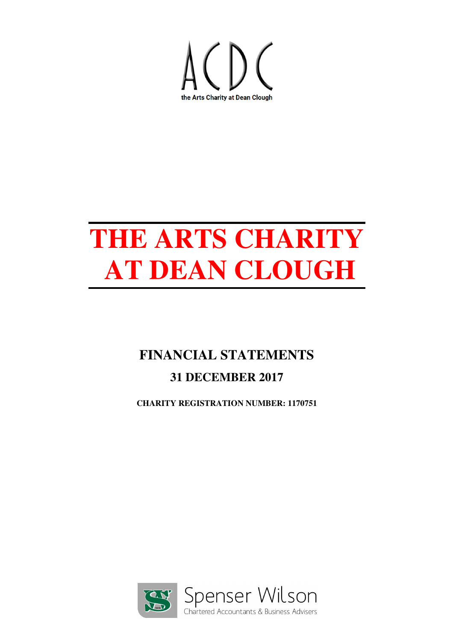

## **FINANCIAL STATEMENTS 31 DECEMBER 2017**

**CHARITY REGISTRATION NUMBER: 1170751**

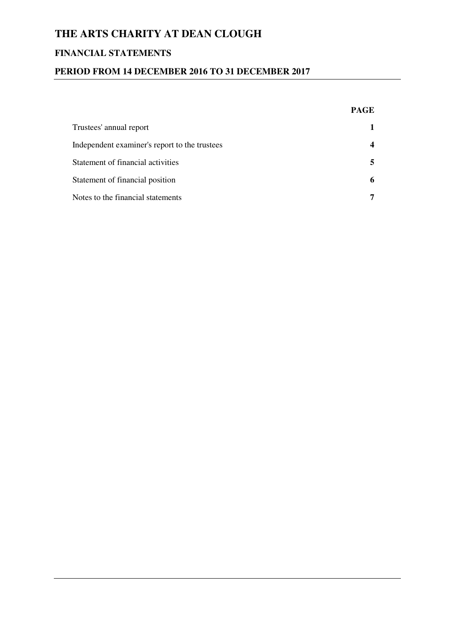## **FINANCIAL STATEMENTS**

## **PERIOD FROM 14 DECEMBER 2016 TO 31 DECEMBER 2017**

|                                               | <b>PAGE</b> |
|-----------------------------------------------|-------------|
| Trustees' annual report                       |             |
| Independent examiner's report to the trustees | 4           |
| Statement of financial activities             | 5.          |
| Statement of financial position               | 6           |
| Notes to the financial statements             | 7           |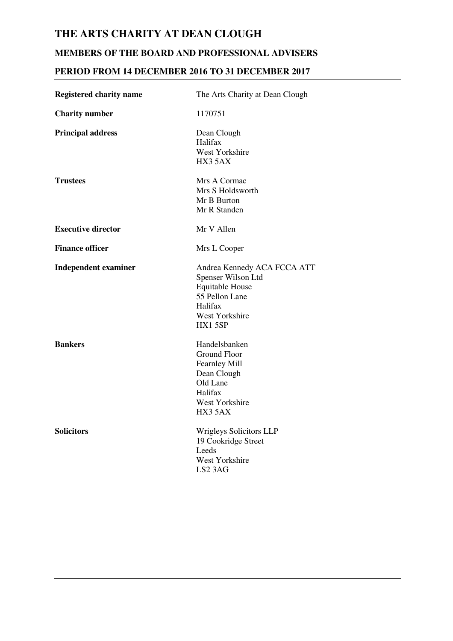## **MEMBERS OF THE BOARD AND PROFESSIONAL ADVISERS**

## **PERIOD FROM 14 DECEMBER 2016 TO 31 DECEMBER 2017**

| <b>Registered charity name</b> | The Arts Charity at Dean Clough                                                                                                      |
|--------------------------------|--------------------------------------------------------------------------------------------------------------------------------------|
| <b>Charity number</b>          | 1170751                                                                                                                              |
| <b>Principal address</b>       | Dean Clough<br>Halifax<br>West Yorkshire<br>HX3 5AX                                                                                  |
| <b>Trustees</b>                | Mrs A Cormac<br>Mrs S Holdsworth<br>Mr B Burton<br>Mr R Standen                                                                      |
| <b>Executive director</b>      | Mr V Allen                                                                                                                           |
| <b>Finance officer</b>         | Mrs L Cooper                                                                                                                         |
| <b>Independent examiner</b>    | Andrea Kennedy ACA FCCA ATT<br>Spenser Wilson Ltd<br><b>Equitable House</b><br>55 Pellon Lane<br>Halifax<br>West Yorkshire<br>HX15SP |
| <b>Bankers</b>                 | Handelsbanken<br><b>Ground Floor</b><br>Fearnley Mill<br>Dean Clough<br>Old Lane<br>Halifax<br>West Yorkshire<br>HX3 5AX             |
| <b>Solicitors</b>              | <b>Wrigleys Solicitors LLP</b><br>19 Cookridge Street<br>Leeds<br>West Yorkshire<br>LS <sub>2</sub> 3AG                              |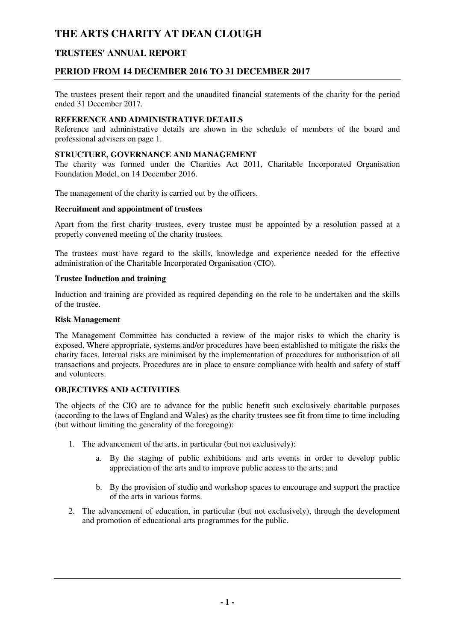## **TRUSTEES' ANNUAL REPORT**

## **PERIOD FROM 14 DECEMBER 2016 TO 31 DECEMBER 2017**

The trustees present their report and the unaudited financial statements of the charity for the period ended 31 December 2017.

#### **REFERENCE AND ADMINISTRATIVE DETAILS**

Reference and administrative details are shown in the schedule of members of the board and professional advisers on page 1.

### **STRUCTURE, GOVERNANCE AND MANAGEMENT**

The charity was formed under the Charities Act 2011, Charitable Incorporated Organisation Foundation Model, on 14 December 2016.

The management of the charity is carried out by the officers.

#### **Recruitment and appointment of trustees**

Apart from the first charity trustees, every trustee must be appointed by a resolution passed at a properly convened meeting of the charity trustees.

The trustees must have regard to the skills, knowledge and experience needed for the effective administration of the Charitable Incorporated Organisation (CIO).

#### **Trustee Induction and training**

Induction and training are provided as required depending on the role to be undertaken and the skills of the trustee.

#### **Risk Management**

The Management Committee has conducted a review of the major risks to which the charity is exposed. Where appropriate, systems and/or procedures have been established to mitigate the risks the charity faces. Internal risks are minimised by the implementation of procedures for authorisation of all transactions and projects. Procedures are in place to ensure compliance with health and safety of staff and volunteers.

## **OBJECTIVES AND ACTIVITIES**

The objects of the CIO are to advance for the public benefit such exclusively charitable purposes (according to the laws of England and Wales) as the charity trustees see fit from time to time including (but without limiting the generality of the foregoing):

- 1. The advancement of the arts, in particular (but not exclusively):
	- a. By the staging of public exhibitions and arts events in order to develop public appreciation of the arts and to improve public access to the arts; and
	- b. By the provision of studio and workshop spaces to encourage and support the practice of the arts in various forms.
- 2. The advancement of education, in particular (but not exclusively), through the development and promotion of educational arts programmes for the public.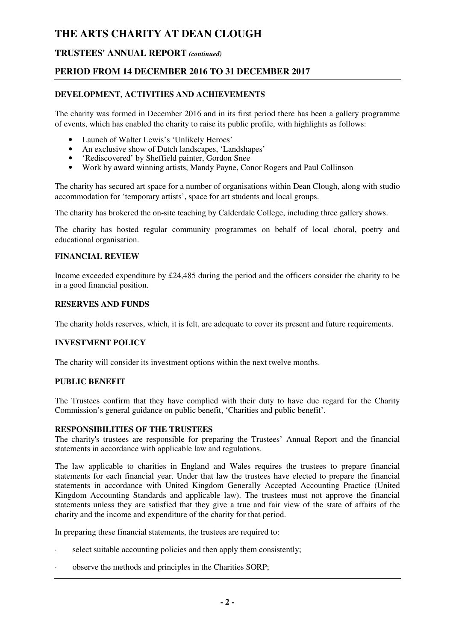## **TRUSTEES' ANNUAL REPORT** *(continued)*

## **PERIOD FROM 14 DECEMBER 2016 TO 31 DECEMBER 2017**

## **DEVELOPMENT, ACTIVITIES AND ACHIEVEMENTS**

The charity was formed in December 2016 and in its first period there has been a gallery programme of events, which has enabled the charity to raise its public profile, with highlights as follows:

- Launch of Walter Lewis's 'Unlikely Heroes'
- An exclusive show of Dutch landscapes, 'Landshapes'
- 'Rediscovered' by Sheffield painter. Gordon Snee
- Work by award winning artists, Mandy Payne, Conor Rogers and Paul Collinson

The charity has secured art space for a number of organisations within Dean Clough, along with studio accommodation for 'temporary artists', space for art students and local groups.

The charity has brokered the on-site teaching by Calderdale College, including three gallery shows.

The charity has hosted regular community programmes on behalf of local choral, poetry and educational organisation.

#### **FINANCIAL REVIEW**

Income exceeded expenditure by £24,485 during the period and the officers consider the charity to be in a good financial position.

#### **RESERVES AND FUNDS**

The charity holds reserves, which, it is felt, are adequate to cover its present and future requirements.

### **INVESTMENT POLICY**

The charity will consider its investment options within the next twelve months.

#### **PUBLIC BENEFIT**

The Trustees confirm that they have complied with their duty to have due regard for the Charity Commission's general guidance on public benefit, 'Charities and public benefit'.

#### **RESPONSIBILITIES OF THE TRUSTEES**

The charity's trustees are responsible for preparing the Trustees' Annual Report and the financial statements in accordance with applicable law and regulations.

The law applicable to charities in England and Wales requires the trustees to prepare financial statements for each financial year. Under that law the trustees have elected to prepare the financial statements in accordance with United Kingdom Generally Accepted Accounting Practice (United Kingdom Accounting Standards and applicable law). The trustees must not approve the financial statements unless they are satisfied that they give a true and fair view of the state of affairs of the charity and the income and expenditure of the charity for that period.

In preparing these financial statements, the trustees are required to:

- select suitable accounting policies and then apply them consistently;
- observe the methods and principles in the Charities SORP;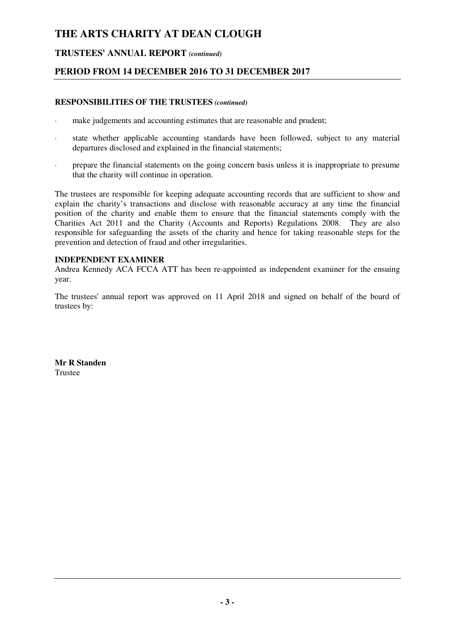## **TRUSTEES' ANNUAL REPORT** *(continued)*

## **PERIOD FROM 14 DECEMBER 2016 TO 31 DECEMBER 2017**

#### **RESPONSIBILITIES OF THE TRUSTEES** *(continued)*

- · make judgements and accounting estimates that are reasonable and prudent;
- · state whether applicable accounting standards have been followed, subject to any material departures disclosed and explained in the financial statements;
- prepare the financial statements on the going concern basis unless it is inappropriate to presume that the charity will continue in operation.

The trustees are responsible for keeping adequate accounting records that are sufficient to show and explain the charity's transactions and disclose with reasonable accuracy at any time the financial position of the charity and enable them to ensure that the financial statements comply with the Charities Act 2011 and the Charity (Accounts and Reports) Regulations 2008. They are also responsible for safeguarding the assets of the charity and hence for taking reasonable steps for the prevention and detection of fraud and other irregularities.

#### **INDEPENDENT EXAMINER**

Andrea Kennedy ACA FCCA ATT has been re-appointed as independent examiner for the ensuing year.

The trustees' annual report was approved on 11 April 2018 and signed on behalf of the board of trustees by:

**Mr R Standen**  Trustee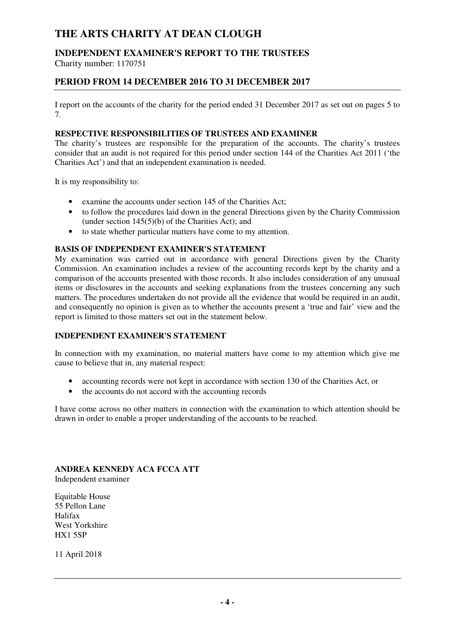## **INDEPENDENT EXAMINER'S REPORT TO THE TRUSTEES**

Charity number: 1170751

## **PERIOD FROM 14 DECEMBER 2016 TO 31 DECEMBER 2017**

I report on the accounts of the charity for the period ended 31 December 2017 as set out on pages 5 to 7.

## **RESPECTIVE RESPONSIBILITIES OF TRUSTEES AND EXAMINER**

The charity's trustees are responsible for the preparation of the accounts. The charity's trustees consider that an audit is not required for this period under section 144 of the Charities Act 2011 ('the Charities Act') and that an independent examination is needed.

It is my responsibility to:

- examine the accounts under section 145 of the Charities Act;
- to follow the procedures laid down in the general Directions given by the Charity Commission (under section  $145(5)(b)$  of the Charities Act); and
- to state whether particular matters have come to my attention.

### **BASIS OF INDEPENDENT EXAMINER'S STATEMENT**

My examination was carried out in accordance with general Directions given by the Charity Commission. An examination includes a review of the accounting records kept by the charity and a comparison of the accounts presented with those records. It also includes consideration of any unusual items or disclosures in the accounts and seeking explanations from the trustees concerning any such matters. The procedures undertaken do not provide all the evidence that would be required in an audit, and consequently no opinion is given as to whether the accounts present a 'true and fair' view and the report is limited to those matters set out in the statement below.

### **INDEPENDENT EXAMINER'S STATEMENT**

In connection with my examination, no material matters have come to my attention which give me cause to believe that in, any material respect:

- accounting records were not kept in accordance with section 130 of the Charities Act, or
- the accounts do not accord with the accounting records

I have come across no other matters in connection with the examination to which attention should be drawn in order to enable a proper understanding of the accounts to be reached.

**ANDREA KENNEDY ACA FCCA ATT**  Independent examiner

Equitable House 55 Pellon Lane Halifax West Yorkshire HX1 5SP

11 April 2018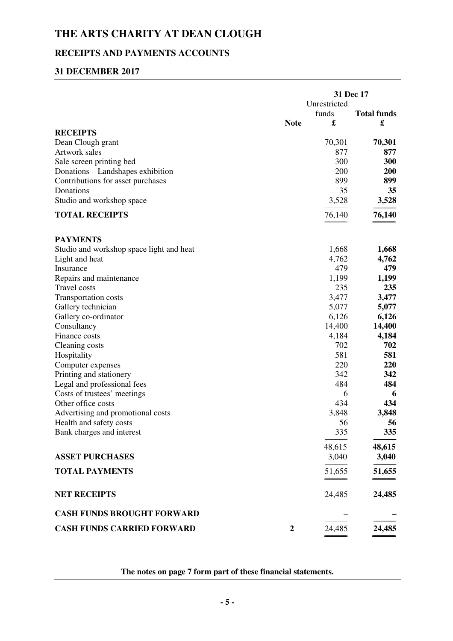## **RECEIPTS AND PAYMENTS ACCOUNTS**

## **31 DECEMBER 2017**

|                                          |                  | 31 Dec 17 |                    |
|------------------------------------------|------------------|-----------|--------------------|
|                                          | Unrestricted     |           |                    |
|                                          |                  | funds     | <b>Total funds</b> |
|                                          | <b>Note</b>      | £         | £                  |
| <b>RECEIPTS</b>                          |                  |           |                    |
| Dean Clough grant                        |                  | 70,301    | 70,301             |
| Artwork sales                            |                  | 877       | 877                |
| Sale screen printing bed                 |                  | 300       | 300                |
| Donations - Landshapes exhibition        |                  | 200       | 200                |
| Contributions for asset purchases        |                  | 899       | 899                |
| Donations                                |                  | 35        | 35                 |
| Studio and workshop space                |                  | 3,528     | 3,528              |
| <b>TOTAL RECEIPTS</b>                    |                  | 76,140    | 76,140             |
| <b>PAYMENTS</b>                          |                  |           |                    |
| Studio and workshop space light and heat |                  | 1,668     | 1,668              |
| Light and heat                           |                  | 4,762     | 4,762              |
| Insurance                                |                  | 479       | 479                |
| Repairs and maintenance                  |                  | 1,199     | 1,199              |
| <b>Travel costs</b>                      |                  | 235       | 235                |
| <b>Transportation costs</b>              |                  | 3,477     | 3,477              |
| Gallery technician                       |                  | 5,077     | 5,077              |
| Gallery co-ordinator                     |                  | 6,126     | 6,126              |
| Consultancy                              |                  | 14,400    | 14,400             |
| Finance costs                            |                  | 4,184     | 4,184              |
| Cleaning costs                           |                  | 702       | 702                |
|                                          |                  | 581       | 581                |
| Hospitality                              |                  |           |                    |
| Computer expenses                        |                  | 220       | 220                |
| Printing and stationery                  |                  | 342       | 342                |
| Legal and professional fees              |                  | 484       | 484                |
| Costs of trustees' meetings              |                  | 6         | 6                  |
| Other office costs                       |                  | 434       | 434                |
| Advertising and promotional costs        |                  | 3,848     | 3,848              |
| Health and safety costs                  |                  | 56        | 56                 |
| Bank charges and interest                |                  | 335       | 335                |
|                                          |                  | 48,615    | 48,615             |
| <b>ASSET PURCHASES</b>                   |                  | 3,040     | 3,040              |
| <b>TOTAL PAYMENTS</b>                    |                  | 51,655    | 51,655             |
| <b>NET RECEIPTS</b>                      |                  | 24,485    | 24,485             |
| <b>CASH FUNDS BROUGHT FORWARD</b>        |                  |           |                    |
| <b>CASH FUNDS CARRIED FORWARD</b>        | $\boldsymbol{2}$ | 24,485    | 24,485             |

**The notes on page 7 form part of these financial statements.**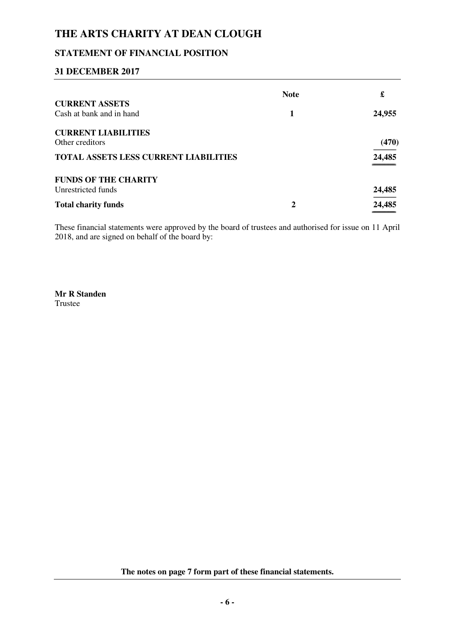## **STATEMENT OF FINANCIAL POSITION**

## **31 DECEMBER 2017**

| <b>Note</b> | £               |
|-------------|-----------------|
|             |                 |
|             | 24,955          |
|             |                 |
|             | (470)           |
|             | 24,485          |
|             |                 |
|             | 24,485          |
| 2           | 24,485<br>_____ |
|             |                 |

These financial statements were approved by the board of trustees and authorised for issue on 11 April 2018, and are signed on behalf of the board by:

**Mr R Standen**  Trustee

**The notes on page 7 form part of these financial statements.**